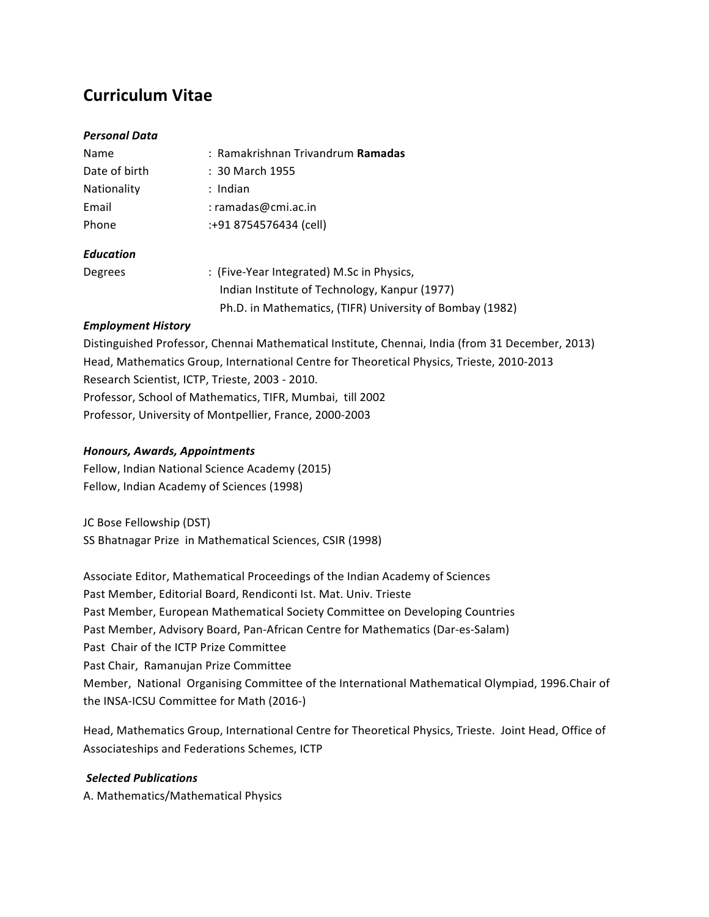# **Curriculum Vitae**

### *Personal Data*

| Name             | : Ramakrishnan Trivandrum <b>Ramadas</b>                 |
|------------------|----------------------------------------------------------|
| Date of birth    | : 30 March 1955                                          |
| Nationality      | : Indian                                                 |
| Email            | $:$ ramadas@cmi.ac.in                                    |
| Phone            | :+91 8754576434 (cell)                                   |
| <b>Education</b> |                                                          |
| Degrees          | : (Five-Year Integrated) M.Sc in Physics,                |
|                  | Indian Institute of Technology, Kanpur (1977)            |
|                  | Ph.D. in Mathematics, (TIFR) University of Bombay (1982) |

### *Employment History*

Distinguished Professor, Chennai Mathematical Institute, Chennai, India (from 31 December, 2013) Head, Mathematics Group, International Centre for Theoretical Physics, Trieste, 2010-2013 Research Scientist, ICTP, Trieste, 2003 - 2010. Professor, School of Mathematics, TIFR, Mumbai, till 2002 Professor, University of Montpellier, France, 2000-2003

# *Honours, Awards, Appointments*

Fellow, Indian National Science Academy (2015) Fellow, Indian Academy of Sciences (1998)

JC Bose Fellowship (DST) SS Bhatnagar Prize in Mathematical Sciences, CSIR (1998)

Associate Editor, Mathematical Proceedings of the Indian Academy of Sciences Past Member, Editorial Board, Rendiconti Ist. Mat. Univ. Trieste Past Member, European Mathematical Society Committee on Developing Countries Past Member, Advisory Board, Pan-African Centre for Mathematics (Dar-es-Salam) Past Chair of the ICTP Prize Committee Past Chair, Ramanujan Prize Committee Member, National Organising Committee of the International Mathematical Olympiad, 1996.Chair of the INSA-ICSU Committee for Math (2016-)

Head, Mathematics Group, International Centre for Theoretical Physics, Trieste. Joint Head, Office of Associateships and Federations Schemes, ICTP

# Selected Publications

A. Mathematics/Mathematical Physics